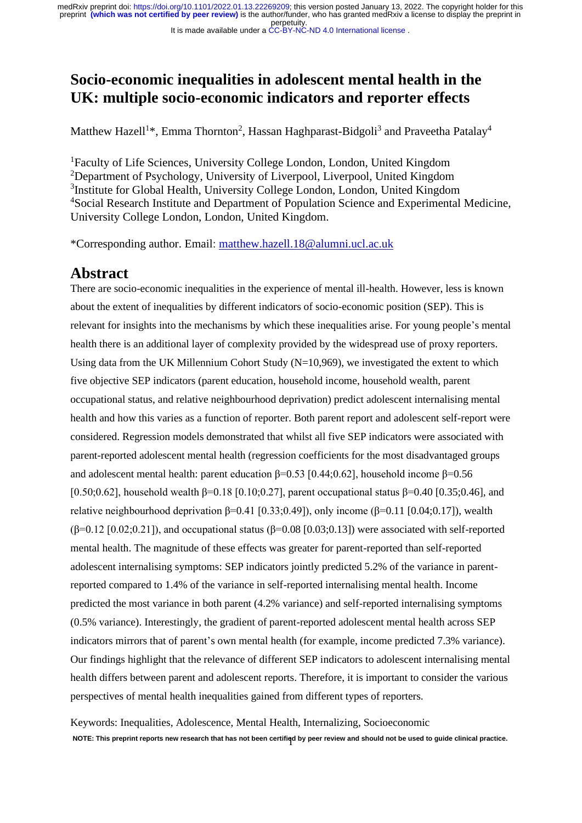# **Socio-economic inequalities in adolescent mental health in the UK: multiple socio-economic indicators and reporter effects**

Matthew Hazell<sup>1\*</sup>, Emma Thornton<sup>2</sup>, Hassan Haghparast-Bidgoli<sup>3</sup> and Praveetha Patalay<sup>4</sup>

<sup>1</sup>Faculty of Life Sciences, University College London, London, United Kingdom <sup>2</sup>Department of Psychology, University of Liverpool, Liverpool, United Kingdom <sup>3</sup>Institute for Global Health, University College London, London, United Kingdom <sup>4</sup>Social Research Institute and Department of Population Science and Experimental Medicine, University College London, London, United Kingdom.

\*Corresponding author. Email: [matthew.hazell.18@alumni.ucl.ac.uk](mailto:matthew.hazell.18@alumni.ucl.ac.uk)

# **Abstract**

There are socio-economic inequalities in the experience of mental ill-health. However, less is known about the extent of inequalities by different indicators of socio-economic position (SEP). This is relevant for insights into the mechanisms by which these inequalities arise. For young people's mental health there is an additional layer of complexity provided by the widespread use of proxy reporters. Using data from the UK Millennium Cohort Study  $(N=10,969)$ , we investigated the extent to which five objective SEP indicators (parent education, household income, household wealth, parent occupational status, and relative neighbourhood deprivation) predict adolescent internalising mental health and how this varies as a function of reporter. Both parent report and adolescent self-report were considered. Regression models demonstrated that whilst all five SEP indicators were associated with parent-reported adolescent mental health (regression coefficients for the most disadvantaged groups and adolescent mental health: parent education  $\beta$ =0.53 [0.44;0.62], household income  $\beta$ =0.56 [0.50;0.62], household wealth β=0.18 [0.10;0.27], parent occupational status β=0.40 [0.35;0.46], and relative neighbourhood deprivation  $\beta$ =0.41 [0.33;0.49]), only income ( $\beta$ =0.11 [0.04;0.17]), wealth ( $\beta$ =0.12 [0.02;0.21]), and occupational status ( $\beta$ =0.08 [0.03;0.13]) were associated with self-reported mental health. The magnitude of these effects was greater for parent-reported than self-reported adolescent internalising symptoms: SEP indicators jointly predicted 5.2% of the variance in parentreported compared to 1.4% of the variance in self-reported internalising mental health. Income predicted the most variance in both parent (4.2% variance) and self-reported internalising symptoms (0.5% variance). Interestingly, the gradient of parent-reported adolescent mental health across SEP indicators mirrors that of parent's own mental health (for example, income predicted 7.3% variance). Our findings highlight that the relevance of different SEP indicators to adolescent internalising mental health differs between parent and adolescent reports. Therefore, it is important to consider the various perspectives of mental health inequalities gained from different types of reporters.

1 **NOTE: This preprint reports new research that has not been certified by peer review and should not be used to guide clinical practice.**Keywords: Inequalities, Adolescence, Mental Health, Internalizing, Socioeconomic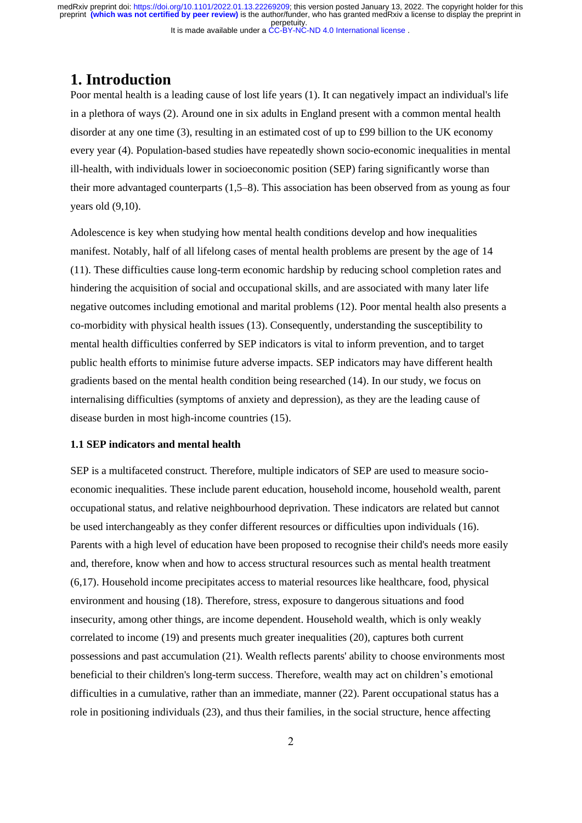# **1. Introduction**

Poor mental health is a leading cause of lost life years (1). It can negatively impact an individual's life in a plethora of ways (2). Around one in six adults in England present with a common mental health disorder at any one time (3), resulting in an estimated cost of up to £99 billion to the UK economy every year (4). Population-based studies have repeatedly shown socio-economic inequalities in mental ill-health, with individuals lower in socioeconomic position (SEP) faring significantly worse than their more advantaged counterparts (1,5–8). This association has been observed from as young as four years old (9,10).

Adolescence is key when studying how mental health conditions develop and how inequalities manifest. Notably, half of all lifelong cases of mental health problems are present by the age of 14 (11). These difficulties cause long-term economic hardship by reducing school completion rates and hindering the acquisition of social and occupational skills, and are associated with many later life negative outcomes including emotional and marital problems (12). Poor mental health also presents a co-morbidity with physical health issues (13). Consequently, understanding the susceptibility to mental health difficulties conferred by SEP indicators is vital to inform prevention, and to target public health efforts to minimise future adverse impacts. SEP indicators may have different health gradients based on the mental health condition being researched (14). In our study, we focus on internalising difficulties (symptoms of anxiety and depression), as they are the leading cause of disease burden in most high-income countries (15).

### **1.1 SEP indicators and mental health**

SEP is a multifaceted construct. Therefore, multiple indicators of SEP are used to measure socioeconomic inequalities. These include parent education, household income, household wealth, parent occupational status, and relative neighbourhood deprivation. These indicators are related but cannot be used interchangeably as they confer different resources or difficulties upon individuals (16). Parents with a high level of education have been proposed to recognise their child's needs more easily and, therefore, know when and how to access structural resources such as mental health treatment (6,17). Household income precipitates access to material resources like healthcare, food, physical environment and housing (18). Therefore, stress, exposure to dangerous situations and food insecurity, among other things, are income dependent. Household wealth, which is only weakly correlated to income (19) and presents much greater inequalities (20), captures both current possessions and past accumulation (21). Wealth reflects parents' ability to choose environments most beneficial to their children's long-term success. Therefore, wealth may act on children's emotional difficulties in a cumulative, rather than an immediate, manner (22). Parent occupational status has a role in positioning individuals (23), and thus their families, in the social structure, hence affecting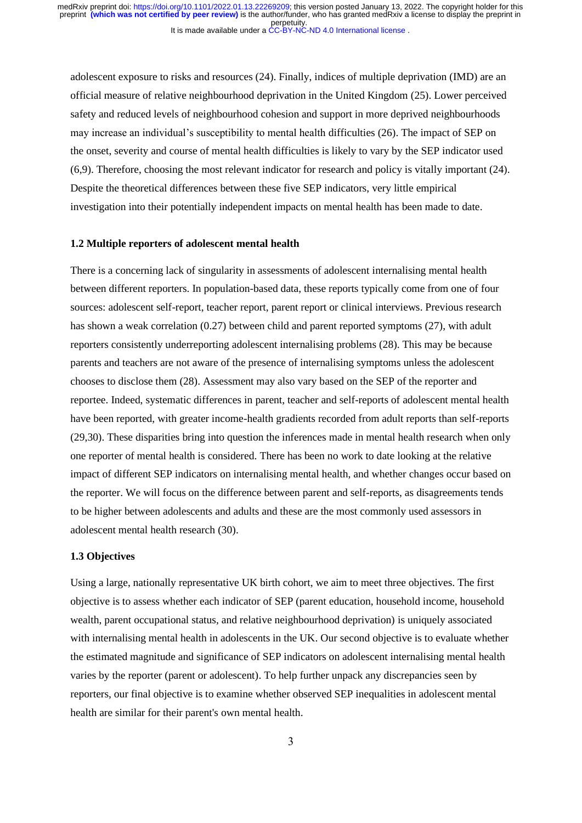adolescent exposure to risks and resources (24). Finally, indices of multiple deprivation (IMD) are an official measure of relative neighbourhood deprivation in the United Kingdom (25). Lower perceived safety and reduced levels of neighbourhood cohesion and support in more deprived neighbourhoods may increase an individual's susceptibility to mental health difficulties (26). The impact of SEP on the onset, severity and course of mental health difficulties is likely to vary by the SEP indicator used (6,9). Therefore, choosing the most relevant indicator for research and policy is vitally important (24). Despite the theoretical differences between these five SEP indicators, very little empirical investigation into their potentially independent impacts on mental health has been made to date.

#### **1.2 Multiple reporters of adolescent mental health**

There is a concerning lack of singularity in assessments of adolescent internalising mental health between different reporters. In population-based data, these reports typically come from one of four sources: adolescent self-report, teacher report, parent report or clinical interviews. Previous research has shown a weak correlation (0.27) between child and parent reported symptoms (27), with adult reporters consistently underreporting adolescent internalising problems (28). This may be because parents and teachers are not aware of the presence of internalising symptoms unless the adolescent chooses to disclose them (28). Assessment may also vary based on the SEP of the reporter and reportee. Indeed, systematic differences in parent, teacher and self-reports of adolescent mental health have been reported, with greater income-health gradients recorded from adult reports than self-reports (29,30). These disparities bring into question the inferences made in mental health research when only one reporter of mental health is considered. There has been no work to date looking at the relative impact of different SEP indicators on internalising mental health, and whether changes occur based on the reporter. We will focus on the difference between parent and self-reports, as disagreements tends to be higher between adolescents and adults and these are the most commonly used assessors in adolescent mental health research (30).

#### **1.3 Objectives**

Using a large, nationally representative UK birth cohort, we aim to meet three objectives. The first objective is to assess whether each indicator of SEP (parent education, household income, household wealth, parent occupational status, and relative neighbourhood deprivation) is uniquely associated with internalising mental health in adolescents in the UK. Our second objective is to evaluate whether the estimated magnitude and significance of SEP indicators on adolescent internalising mental health varies by the reporter (parent or adolescent). To help further unpack any discrepancies seen by reporters, our final objective is to examine whether observed SEP inequalities in adolescent mental health are similar for their parent's own mental health.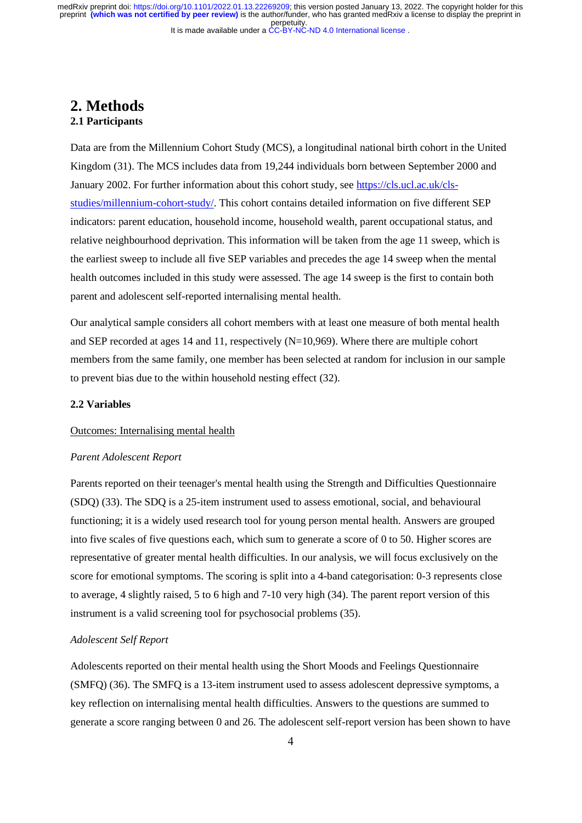# **2. Methods 2.1 Participants**

Data are from the Millennium Cohort Study (MCS), a longitudinal national birth cohort in the United Kingdom (31). The MCS includes data from 19,244 individuals born between September 2000 and January 2002. For further information about this cohort study, see [https://cls.ucl.ac.uk/cls](https://cls.ucl.ac.uk/cls-studies/millennium-cohort-study/)[studies/millennium-cohort-study/.](https://cls.ucl.ac.uk/cls-studies/millennium-cohort-study/) This cohort contains detailed information on five different SEP indicators: parent education, household income, household wealth, parent occupational status, and relative neighbourhood deprivation. This information will be taken from the age 11 sweep, which is the earliest sweep to include all five SEP variables and precedes the age 14 sweep when the mental health outcomes included in this study were assessed. The age 14 sweep is the first to contain both parent and adolescent self-reported internalising mental health.

Our analytical sample considers all cohort members with at least one measure of both mental health and SEP recorded at ages 14 and 11, respectively (N=10,969). Where there are multiple cohort members from the same family, one member has been selected at random for inclusion in our sample to prevent bias due to the within household nesting effect (32).

### **2.2 Variables**

#### Outcomes: Internalising mental health

#### *Parent Adolescent Report*

Parents reported on their teenager's mental health using the Strength and Difficulties Questionnaire (SDQ) (33). The SDQ is a 25-item instrument used to assess emotional, social, and behavioural functioning; it is a widely used research tool for young person mental health. Answers are grouped into five scales of five questions each, which sum to generate a score of 0 to 50. Higher scores are representative of greater mental health difficulties. In our analysis, we will focus exclusively on the score for emotional symptoms. The scoring is split into a 4-band categorisation: 0-3 represents close to average, 4 slightly raised, 5 to 6 high and 7-10 very high (34). The parent report version of this instrument is a valid screening tool for psychosocial problems (35).

### *Adolescent Self Report*

Adolescents reported on their mental health using the Short Moods and Feelings Questionnaire (SMFQ) (36). The SMFQ is a 13-item instrument used to assess adolescent depressive symptoms, a key reflection on internalising mental health difficulties. Answers to the questions are summed to generate a score ranging between 0 and 26. The adolescent self-report version has been shown to have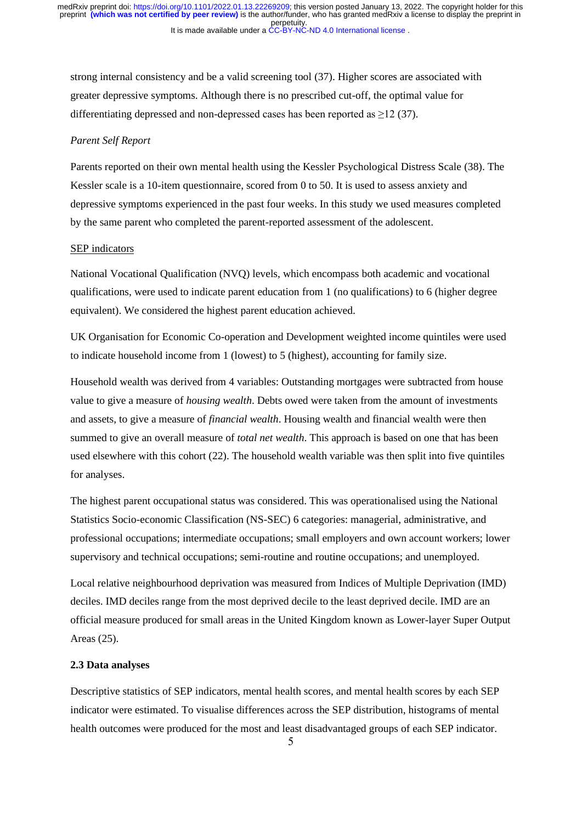strong internal consistency and be a valid screening tool (37). Higher scores are associated with greater depressive symptoms. Although there is no prescribed cut-off, the optimal value for differentiating depressed and non-depressed cases has been reported as ≥12 (37).

#### *Parent Self Report*

Parents reported on their own mental health using the Kessler Psychological Distress Scale (38). The Kessler scale is a 10-item questionnaire, scored from 0 to 50. It is used to assess anxiety and depressive symptoms experienced in the past four weeks. In this study we used measures completed by the same parent who completed the parent-reported assessment of the adolescent.

#### SEP indicators

National Vocational Qualification (NVQ) levels, which encompass both academic and vocational qualifications, were used to indicate parent education from 1 (no qualifications) to 6 (higher degree equivalent). We considered the highest parent education achieved.

UK Organisation for Economic Co-operation and Development weighted income quintiles were used to indicate household income from 1 (lowest) to 5 (highest), accounting for family size.

Household wealth was derived from 4 variables: Outstanding mortgages were subtracted from house value to give a measure of *housing wealth*. Debts owed were taken from the amount of investments and assets, to give a measure of *financial wealth*. Housing wealth and financial wealth were then summed to give an overall measure of *total net wealth*. This approach is based on one that has been used elsewhere with this cohort (22). The household wealth variable was then split into five quintiles for analyses.

The highest parent occupational status was considered. This was operationalised using the National Statistics Socio-economic Classification (NS-SEC) 6 categories: managerial, administrative, and professional occupations; intermediate occupations; small employers and own account workers; lower supervisory and technical occupations; semi-routine and routine occupations; and unemployed.

Local relative neighbourhood deprivation was measured from Indices of Multiple Deprivation (IMD) deciles. IMD deciles range from the most deprived decile to the least deprived decile. IMD are an official measure produced for small areas in the United Kingdom known as Lower-layer Super Output Areas (25).

#### **2.3 Data analyses**

Descriptive statistics of SEP indicators, mental health scores, and mental health scores by each SEP indicator were estimated. To visualise differences across the SEP distribution, histograms of mental health outcomes were produced for the most and least disadvantaged groups of each SEP indicator.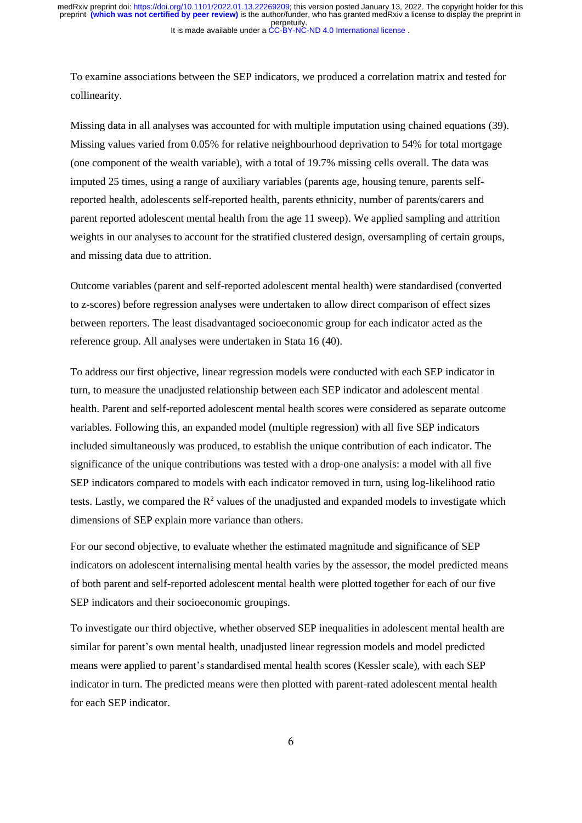To examine associations between the SEP indicators, we produced a correlation matrix and tested for collinearity.

Missing data in all analyses was accounted for with multiple imputation using chained equations (39). Missing values varied from 0.05% for relative neighbourhood deprivation to 54% for total mortgage (one component of the wealth variable), with a total of 19.7% missing cells overall. The data was imputed 25 times, using a range of auxiliary variables (parents age, housing tenure, parents selfreported health, adolescents self-reported health, parents ethnicity, number of parents/carers and parent reported adolescent mental health from the age 11 sweep). We applied sampling and attrition weights in our analyses to account for the stratified clustered design, oversampling of certain groups, and missing data due to attrition.

Outcome variables (parent and self-reported adolescent mental health) were standardised (converted to z-scores) before regression analyses were undertaken to allow direct comparison of effect sizes between reporters. The least disadvantaged socioeconomic group for each indicator acted as the reference group. All analyses were undertaken in Stata 16 (40).

To address our first objective, linear regression models were conducted with each SEP indicator in turn, to measure the unadjusted relationship between each SEP indicator and adolescent mental health. Parent and self-reported adolescent mental health scores were considered as separate outcome variables. Following this, an expanded model (multiple regression) with all five SEP indicators included simultaneously was produced, to establish the unique contribution of each indicator. The significance of the unique contributions was tested with a drop-one analysis: a model with all five SEP indicators compared to models with each indicator removed in turn, using log-likelihood ratio tests. Lastly, we compared the  $R^2$  values of the unadjusted and expanded models to investigate which dimensions of SEP explain more variance than others.

For our second objective, to evaluate whether the estimated magnitude and significance of SEP indicators on adolescent internalising mental health varies by the assessor, the model predicted means of both parent and self-reported adolescent mental health were plotted together for each of our five SEP indicators and their socioeconomic groupings.

To investigate our third objective, whether observed SEP inequalities in adolescent mental health are similar for parent's own mental health, unadjusted linear regression models and model predicted means were applied to parent's standardised mental health scores (Kessler scale), with each SEP indicator in turn. The predicted means were then plotted with parent-rated adolescent mental health for each SEP indicator.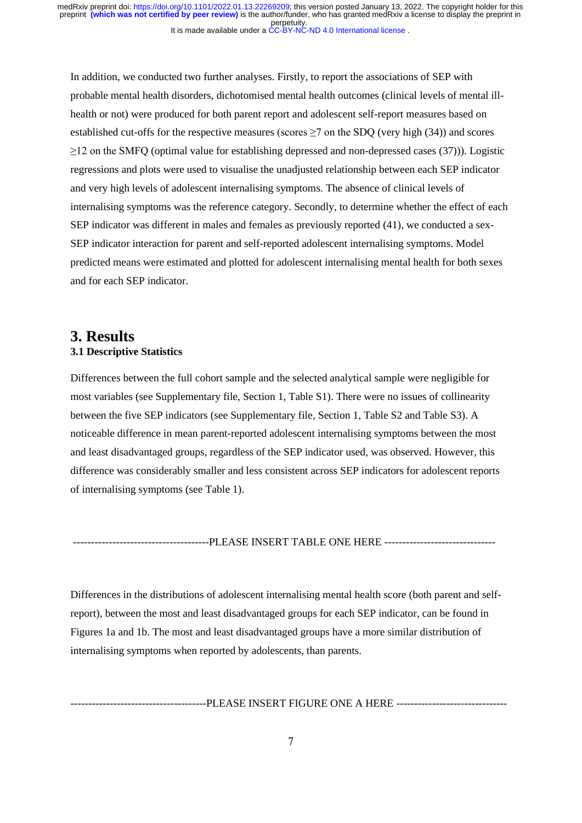In addition, we conducted two further analyses. Firstly, to report the associations of SEP with probable mental health disorders, dichotomised mental health outcomes (clinical levels of mental illhealth or not) were produced for both parent report and adolescent self-report measures based on established cut-offs for the respective measures (scores  $\geq$ 7 on the SDQ (very high (34)) and scores ≥12 on the SMFQ (optimal value for establishing depressed and non-depressed cases (37))). Logistic regressions and plots were used to visualise the unadjusted relationship between each SEP indicator and very high levels of adolescent internalising symptoms. The absence of clinical levels of internalising symptoms was the reference category. Secondly, to determine whether the effect of each SEP indicator was different in males and females as previously reported (41), we conducted a sex-SEP indicator interaction for parent and self-reported adolescent internalising symptoms. Model predicted means were estimated and plotted for adolescent internalising mental health for both sexes and for each SEP indicator.

# **3. Results 3.1 Descriptive Statistics**

Differences between the full cohort sample and the selected analytical sample were negligible for most variables (see Supplementary file, Section 1, Table S1). There were no issues of collinearity between the five SEP indicators (see Supplementary file, Section 1, Table S2 and Table S3). A noticeable difference in mean parent-reported adolescent internalising symptoms between the most and least disadvantaged groups, regardless of the SEP indicator used, was observed. However, this difference was considerably smaller and less consistent across SEP indicators for adolescent reports of internalising symptoms (see Table 1).

--------------------------PLEASE INSERT TABLE ONE HERE -------------------------------

Differences in the distributions of adolescent internalising mental health score (both parent and selfreport), between the most and least disadvantaged groups for each SEP indicator, can be found in Figures 1a and 1b. The most and least disadvantaged groups have a more similar distribution of internalising symptoms when reported by adolescents, than parents.

--------------------------------------PLEASE INSERT FIGURE ONE A HERE -------------------------------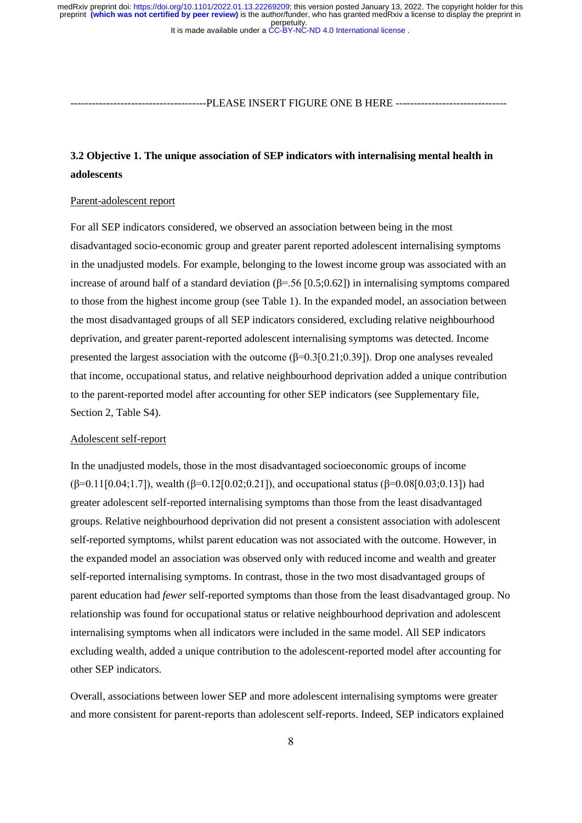--------------------------------------PLEASE INSERT FIGURE ONE B HERE -------------------------------

# **3.2 Objective 1. The unique association of SEP indicators with internalising mental health in adolescents**

### Parent-adolescent report

For all SEP indicators considered, we observed an association between being in the most disadvantaged socio-economic group and greater parent reported adolescent internalising symptoms in the unadjusted models. For example, belonging to the lowest income group was associated with an increase of around half of a standard deviation ( $\beta$ =.56 [0.5;0.62]) in internalising symptoms compared to those from the highest income group (see Table 1). In the expanded model, an association between the most disadvantaged groups of all SEP indicators considered, excluding relative neighbourhood deprivation, and greater parent-reported adolescent internalising symptoms was detected. Income presented the largest association with the outcome  $(\beta=0.3[0.21;0.39])$ . Drop one analyses revealed that income, occupational status, and relative neighbourhood deprivation added a unique contribution to the parent-reported model after accounting for other SEP indicators (see Supplementary file, Section 2, Table S4).

#### Adolescent self-report

In the unadjusted models, those in the most disadvantaged socioeconomic groups of income (β=0.11[0.04;1.7]), wealth (β=0.12[0.02;0.21]), and occupational status (β=0.08[0.03;0.13]) had greater adolescent self-reported internalising symptoms than those from the least disadvantaged groups. Relative neighbourhood deprivation did not present a consistent association with adolescent self-reported symptoms, whilst parent education was not associated with the outcome. However, in the expanded model an association was observed only with reduced income and wealth and greater self-reported internalising symptoms. In contrast, those in the two most disadvantaged groups of parent education had *fewer* self-reported symptoms than those from the least disadvantaged group. No relationship was found for occupational status or relative neighbourhood deprivation and adolescent internalising symptoms when all indicators were included in the same model. All SEP indicators excluding wealth, added a unique contribution to the adolescent-reported model after accounting for other SEP indicators.

Overall, associations between lower SEP and more adolescent internalising symptoms were greater and more consistent for parent-reports than adolescent self-reports. Indeed, SEP indicators explained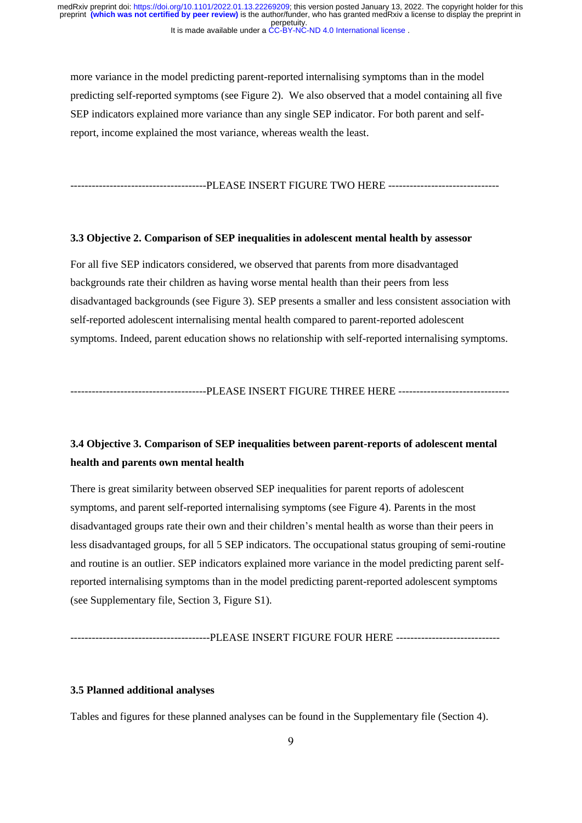more variance in the model predicting parent-reported internalising symptoms than in the model predicting self-reported symptoms (see Figure 2). We also observed that a model containing all five SEP indicators explained more variance than any single SEP indicator. For both parent and selfreport, income explained the most variance, whereas wealth the least.

-------------------------PLEASE INSERT FIGURE TWO HERE -----------------------------

#### **3.3 Objective 2. Comparison of SEP inequalities in adolescent mental health by assessor**

For all five SEP indicators considered, we observed that parents from more disadvantaged backgrounds rate their children as having worse mental health than their peers from less disadvantaged backgrounds (see Figure 3). SEP presents a smaller and less consistent association with self-reported adolescent internalising mental health compared to parent-reported adolescent symptoms. Indeed, parent education shows no relationship with self-reported internalising symptoms.

--------------------------------------PLEASE INSERT FIGURE THREE HERE -------------------------------

# **3.4 Objective 3. Comparison of SEP inequalities between parent-reports of adolescent mental health and parents own mental health**

There is great similarity between observed SEP inequalities for parent reports of adolescent symptoms, and parent self-reported internalising symptoms (see Figure 4). Parents in the most disadvantaged groups rate their own and their children's mental health as worse than their peers in less disadvantaged groups, for all 5 SEP indicators. The occupational status grouping of semi-routine and routine is an outlier. SEP indicators explained more variance in the model predicting parent selfreported internalising symptoms than in the model predicting parent-reported adolescent symptoms (see Supplementary file, Section 3, Figure S1).

#### ---------------------------------PLEASE INSERT FIGURE FOUR HERE ----------------------------

### **3.5 Planned additional analyses**

Tables and figures for these planned analyses can be found in the Supplementary file (Section 4).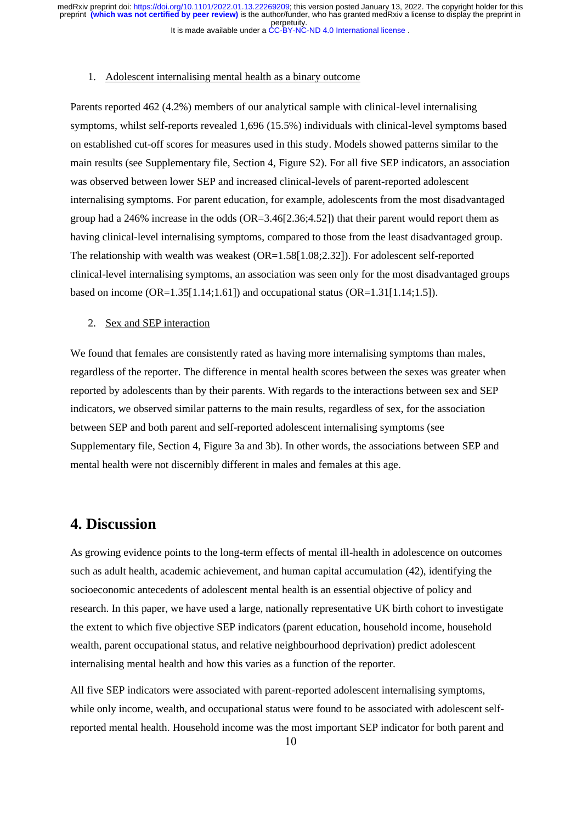#### 1. Adolescent internalising mental health as a binary outcome

Parents reported 462 (4.2%) members of our analytical sample with clinical-level internalising symptoms, whilst self-reports revealed 1,696 (15.5%) individuals with clinical-level symptoms based on established cut-off scores for measures used in this study. Models showed patterns similar to the main results (see Supplementary file, Section 4, Figure S2). For all five SEP indicators, an association was observed between lower SEP and increased clinical-levels of parent-reported adolescent internalising symptoms. For parent education, for example, adolescents from the most disadvantaged group had a 246% increase in the odds (OR=3.46[2.36;4.52]) that their parent would report them as having clinical-level internalising symptoms, compared to those from the least disadvantaged group. The relationship with wealth was weakest  $(OR=1.58[1.08;2.32])$ . For adolescent self-reported clinical-level internalising symptoms, an association was seen only for the most disadvantaged groups based on income  $(OR=1.35[1.14;1.61])$  and occupational status  $(OR=1.31[1.14;1.5])$ .

#### 2. Sex and SEP interaction

We found that females are consistently rated as having more internalising symptoms than males, regardless of the reporter. The difference in mental health scores between the sexes was greater when reported by adolescents than by their parents. With regards to the interactions between sex and SEP indicators, we observed similar patterns to the main results, regardless of sex, for the association between SEP and both parent and self-reported adolescent internalising symptoms (see Supplementary file, Section 4, Figure 3a and 3b). In other words, the associations between SEP and mental health were not discernibly different in males and females at this age.

# **4. Discussion**

As growing evidence points to the long-term effects of mental ill-health in adolescence on outcomes such as adult health, academic achievement, and human capital accumulation (42), identifying the socioeconomic antecedents of adolescent mental health is an essential objective of policy and research. In this paper, we have used a large, nationally representative UK birth cohort to investigate the extent to which five objective SEP indicators (parent education, household income, household wealth, parent occupational status, and relative neighbourhood deprivation) predict adolescent internalising mental health and how this varies as a function of the reporter.

All five SEP indicators were associated with parent-reported adolescent internalising symptoms, while only income, wealth, and occupational status were found to be associated with adolescent selfreported mental health. Household income was the most important SEP indicator for both parent and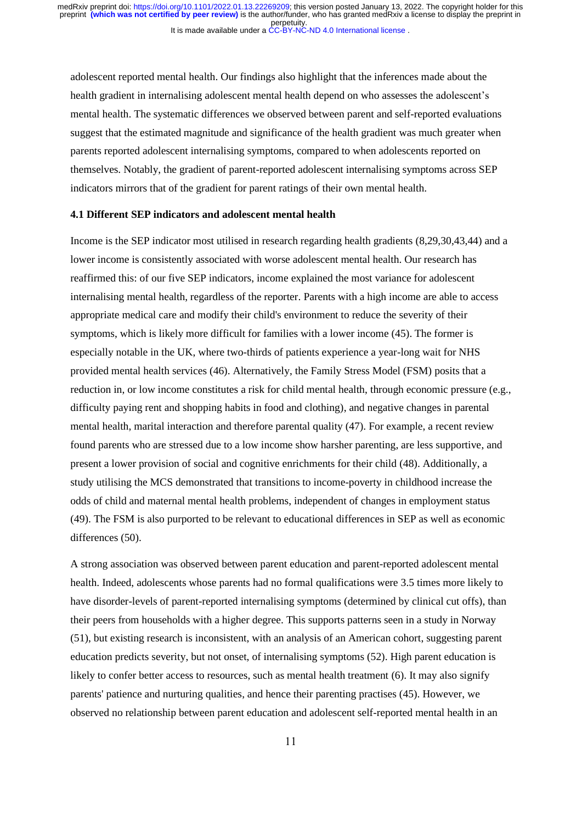adolescent reported mental health. Our findings also highlight that the inferences made about the health gradient in internalising adolescent mental health depend on who assesses the adolescent's mental health. The systematic differences we observed between parent and self-reported evaluations suggest that the estimated magnitude and significance of the health gradient was much greater when parents reported adolescent internalising symptoms, compared to when adolescents reported on themselves. Notably, the gradient of parent-reported adolescent internalising symptoms across SEP indicators mirrors that of the gradient for parent ratings of their own mental health.

### **4.1 Different SEP indicators and adolescent mental health**

Income is the SEP indicator most utilised in research regarding health gradients (8,29,30,43,44) and a lower income is consistently associated with worse adolescent mental health. Our research has reaffirmed this: of our five SEP indicators, income explained the most variance for adolescent internalising mental health, regardless of the reporter. Parents with a high income are able to access appropriate medical care and modify their child's environment to reduce the severity of their symptoms, which is likely more difficult for families with a lower income (45). The former is especially notable in the UK, where two-thirds of patients experience a year-long wait for NHS provided mental health services (46). Alternatively, the Family Stress Model (FSM) posits that a reduction in, or low income constitutes a risk for child mental health, through economic pressure (e.g., difficulty paying rent and shopping habits in food and clothing), and negative changes in parental mental health, marital interaction and therefore parental quality (47). For example, a recent review found parents who are stressed due to a low income show harsher parenting, are less supportive, and present a lower provision of social and cognitive enrichments for their child (48). Additionally, a study utilising the MCS demonstrated that transitions to income-poverty in childhood increase the odds of child and maternal mental health problems, independent of changes in employment status (49). The FSM is also purported to be relevant to educational differences in SEP as well as economic differences (50).

A strong association was observed between parent education and parent-reported adolescent mental health. Indeed, adolescents whose parents had no formal qualifications were 3.5 times more likely to have disorder-levels of parent-reported internalising symptoms (determined by clinical cut offs), than their peers from households with a higher degree. This supports patterns seen in a study in Norway (51), but existing research is inconsistent, with an analysis of an American cohort, suggesting parent education predicts severity, but not onset, of internalising symptoms (52). High parent education is likely to confer better access to resources, such as mental health treatment (6). It may also signify parents' patience and nurturing qualities, and hence their parenting practises (45). However, we observed no relationship between parent education and adolescent self-reported mental health in an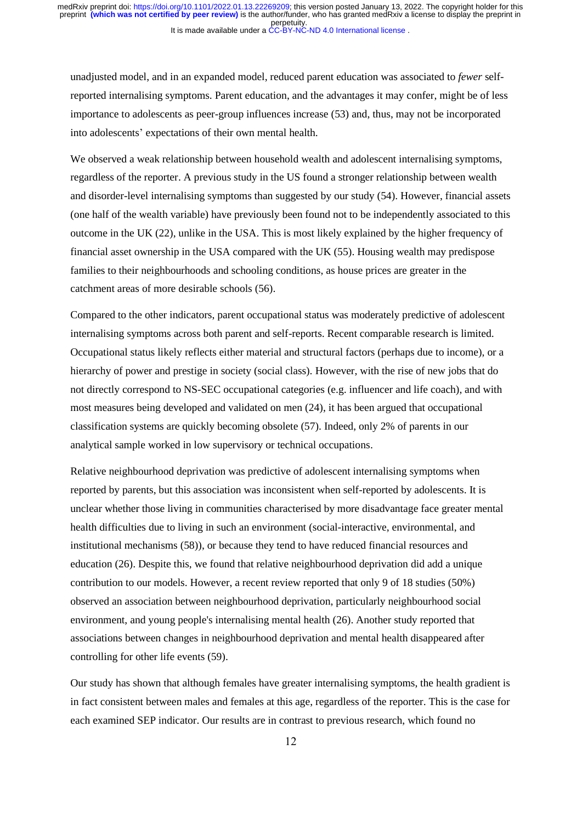unadjusted model, and in an expanded model, reduced parent education was associated to *fewer* selfreported internalising symptoms. Parent education, and the advantages it may confer, might be of less importance to adolescents as peer-group influences increase (53) and, thus, may not be incorporated into adolescents' expectations of their own mental health.

We observed a weak relationship between household wealth and adolescent internalising symptoms, regardless of the reporter. A previous study in the US found a stronger relationship between wealth and disorder-level internalising symptoms than suggested by our study (54). However, financial assets (one half of the wealth variable) have previously been found not to be independently associated to this outcome in the UK (22), unlike in the USA. This is most likely explained by the higher frequency of financial asset ownership in the USA compared with the UK (55). Housing wealth may predispose families to their neighbourhoods and schooling conditions, as house prices are greater in the catchment areas of more desirable schools (56).

Compared to the other indicators, parent occupational status was moderately predictive of adolescent internalising symptoms across both parent and self-reports. Recent comparable research is limited. Occupational status likely reflects either material and structural factors (perhaps due to income), or a hierarchy of power and prestige in society (social class). However, with the rise of new jobs that do not directly correspond to NS-SEC occupational categories (e.g. influencer and life coach), and with most measures being developed and validated on men (24), it has been argued that occupational classification systems are quickly becoming obsolete (57). Indeed, only 2% of parents in our analytical sample worked in low supervisory or technical occupations.

Relative neighbourhood deprivation was predictive of adolescent internalising symptoms when reported by parents, but this association was inconsistent when self-reported by adolescents. It is unclear whether those living in communities characterised by more disadvantage face greater mental health difficulties due to living in such an environment (social-interactive, environmental, and institutional mechanisms (58)), or because they tend to have reduced financial resources and education (26). Despite this, we found that relative neighbourhood deprivation did add a unique contribution to our models. However, a recent review reported that only 9 of 18 studies (50%) observed an association between neighbourhood deprivation, particularly neighbourhood social environment, and young people's internalising mental health (26). Another study reported that associations between changes in neighbourhood deprivation and mental health disappeared after controlling for other life events (59).

Our study has shown that although females have greater internalising symptoms, the health gradient is in fact consistent between males and females at this age, regardless of the reporter. This is the case for each examined SEP indicator. Our results are in contrast to previous research, which found no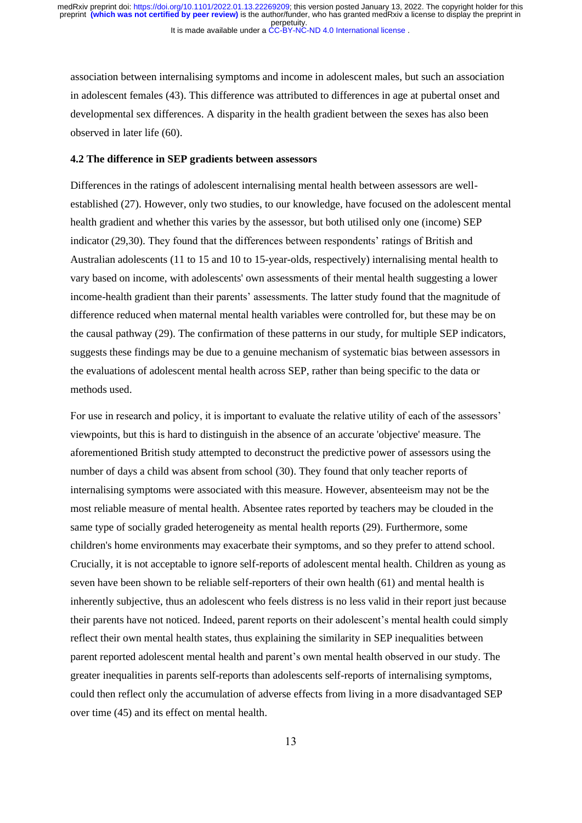It is made available under a [CC-BY-NC-ND 4.0 International license](http://creativecommons.org/licenses/by-nc-nd/4.0/) . perpetuity. preprint **(which was not certified by peer review)** is the author/funder, who has granted medRxiv a license to display the preprint in medRxiv preprint doi: [https://doi.org/10.1101/2022.01.13.22269209;](https://doi.org/10.1101/2022.01.13.22269209) this version posted January 13, 2022. The copyright holder for this

association between internalising symptoms and income in adolescent males, but such an association in adolescent females (43). This difference was attributed to differences in age at pubertal onset and developmental sex differences. A disparity in the health gradient between the sexes has also been observed in later life (60).

#### **4.2 The difference in SEP gradients between assessors**

Differences in the ratings of adolescent internalising mental health between assessors are wellestablished (27). However, only two studies, to our knowledge, have focused on the adolescent mental health gradient and whether this varies by the assessor, but both utilised only one (income) SEP indicator (29,30). They found that the differences between respondents' ratings of British and Australian adolescents (11 to 15 and 10 to 15-year-olds, respectively) internalising mental health to vary based on income, with adolescents' own assessments of their mental health suggesting a lower income-health gradient than their parents' assessments. The latter study found that the magnitude of difference reduced when maternal mental health variables were controlled for, but these may be on the causal pathway (29). The confirmation of these patterns in our study, for multiple SEP indicators, suggests these findings may be due to a genuine mechanism of systematic bias between assessors in the evaluations of adolescent mental health across SEP, rather than being specific to the data or methods used.

For use in research and policy, it is important to evaluate the relative utility of each of the assessors' viewpoints, but this is hard to distinguish in the absence of an accurate 'objective' measure. The aforementioned British study attempted to deconstruct the predictive power of assessors using the number of days a child was absent from school (30). They found that only teacher reports of internalising symptoms were associated with this measure. However, absenteeism may not be the most reliable measure of mental health. Absentee rates reported by teachers may be clouded in the same type of socially graded heterogeneity as mental health reports (29). Furthermore, some children's home environments may exacerbate their symptoms, and so they prefer to attend school. Crucially, it is not acceptable to ignore self-reports of adolescent mental health. Children as young as seven have been shown to be reliable self-reporters of their own health (61) and mental health is inherently subjective, thus an adolescent who feels distress is no less valid in their report just because their parents have not noticed. Indeed, parent reports on their adolescent's mental health could simply reflect their own mental health states, thus explaining the similarity in SEP inequalities between parent reported adolescent mental health and parent's own mental health observed in our study. The greater inequalities in parents self-reports than adolescents self-reports of internalising symptoms, could then reflect only the accumulation of adverse effects from living in a more disadvantaged SEP over time (45) and its effect on mental health.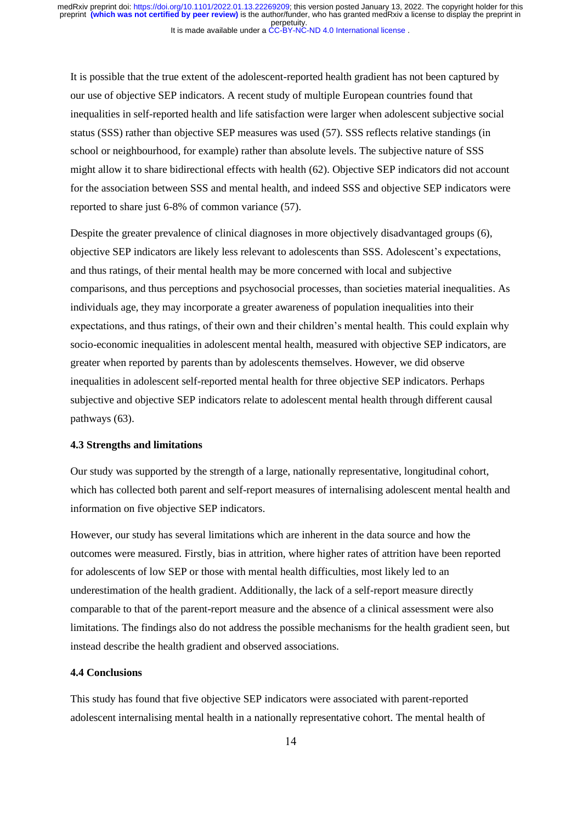It is possible that the true extent of the adolescent-reported health gradient has not been captured by our use of objective SEP indicators. A recent study of multiple European countries found that inequalities in self-reported health and life satisfaction were larger when adolescent subjective social status (SSS) rather than objective SEP measures was used (57). SSS reflects relative standings (in school or neighbourhood, for example) rather than absolute levels. The subjective nature of SSS might allow it to share bidirectional effects with health (62). Objective SEP indicators did not account for the association between SSS and mental health, and indeed SSS and objective SEP indicators were reported to share just 6-8% of common variance (57).

Despite the greater prevalence of clinical diagnoses in more objectively disadvantaged groups (6), objective SEP indicators are likely less relevant to adolescents than SSS. Adolescent's expectations, and thus ratings, of their mental health may be more concerned with local and subjective comparisons, and thus perceptions and psychosocial processes, than societies material inequalities. As individuals age, they may incorporate a greater awareness of population inequalities into their expectations, and thus ratings, of their own and their children's mental health. This could explain why socio-economic inequalities in adolescent mental health, measured with objective SEP indicators, are greater when reported by parents than by adolescents themselves. However, we did observe inequalities in adolescent self-reported mental health for three objective SEP indicators. Perhaps subjective and objective SEP indicators relate to adolescent mental health through different causal pathways (63).

### **4.3 Strengths and limitations**

Our study was supported by the strength of a large, nationally representative, longitudinal cohort, which has collected both parent and self-report measures of internalising adolescent mental health and information on five objective SEP indicators.

However, our study has several limitations which are inherent in the data source and how the outcomes were measured. Firstly, bias in attrition, where higher rates of attrition have been reported for adolescents of low SEP or those with mental health difficulties, most likely led to an underestimation of the health gradient. Additionally, the lack of a self-report measure directly comparable to that of the parent-report measure and the absence of a clinical assessment were also limitations. The findings also do not address the possible mechanisms for the health gradient seen, but instead describe the health gradient and observed associations.

### **4.4 Conclusions**

This study has found that five objective SEP indicators were associated with parent-reported adolescent internalising mental health in a nationally representative cohort. The mental health of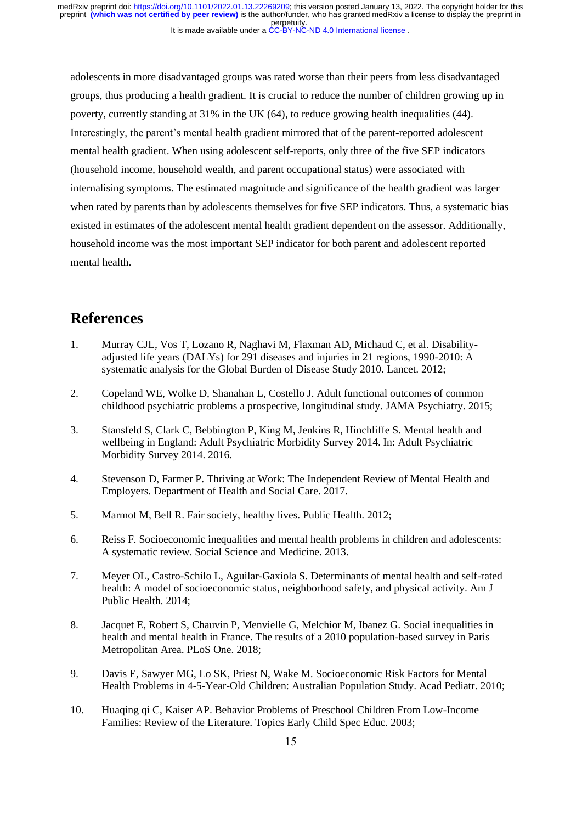It is made available under a [CC-BY-NC-ND 4.0 International license](http://creativecommons.org/licenses/by-nc-nd/4.0/) . perpetuity. preprint **(which was not certified by peer review)** is the author/funder, who has granted medRxiv a license to display the preprint in medRxiv preprint doi: [https://doi.org/10.1101/2022.01.13.22269209;](https://doi.org/10.1101/2022.01.13.22269209) this version posted January 13, 2022. The copyright holder for this

adolescents in more disadvantaged groups was rated worse than their peers from less disadvantaged groups, thus producing a health gradient. It is crucial to reduce the number of children growing up in poverty, currently standing at 31% in the UK (64), to reduce growing health inequalities (44). Interestingly, the parent's mental health gradient mirrored that of the parent-reported adolescent mental health gradient. When using adolescent self-reports, only three of the five SEP indicators (household income, household wealth, and parent occupational status) were associated with internalising symptoms. The estimated magnitude and significance of the health gradient was larger when rated by parents than by adolescents themselves for five SEP indicators. Thus, a systematic bias existed in estimates of the adolescent mental health gradient dependent on the assessor. Additionally, household income was the most important SEP indicator for both parent and adolescent reported mental health.

# **References**

- 1. Murray CJL, Vos T, Lozano R, Naghavi M, Flaxman AD, Michaud C, et al. Disabilityadjusted life years (DALYs) for 291 diseases and injuries in 21 regions, 1990-2010: A systematic analysis for the Global Burden of Disease Study 2010. Lancet. 2012;
- 2. Copeland WE, Wolke D, Shanahan L, Costello J. Adult functional outcomes of common childhood psychiatric problems a prospective, longitudinal study. JAMA Psychiatry. 2015;
- 3. Stansfeld S, Clark C, Bebbington P, King M, Jenkins R, Hinchliffe S. Mental health and wellbeing in England: Adult Psychiatric Morbidity Survey 2014. In: Adult Psychiatric Morbidity Survey 2014. 2016.
- 4. Stevenson D, Farmer P. Thriving at Work: The Independent Review of Mental Health and Employers. Department of Health and Social Care. 2017.
- 5. Marmot M, Bell R. Fair society, healthy lives. Public Health. 2012;
- 6. Reiss F. Socioeconomic inequalities and mental health problems in children and adolescents: A systematic review. Social Science and Medicine. 2013.
- 7. Meyer OL, Castro-Schilo L, Aguilar-Gaxiola S. Determinants of mental health and self-rated health: A model of socioeconomic status, neighborhood safety, and physical activity. Am J Public Health. 2014;
- 8. Jacquet E, Robert S, Chauvin P, Menvielle G, Melchior M, Ibanez G. Social inequalities in health and mental health in France. The results of a 2010 population-based survey in Paris Metropolitan Area. PLoS One. 2018;
- 9. Davis E, Sawyer MG, Lo SK, Priest N, Wake M. Socioeconomic Risk Factors for Mental Health Problems in 4-5-Year-Old Children: Australian Population Study. Acad Pediatr. 2010;
- 10. Huaqing qi C, Kaiser AP. Behavior Problems of Preschool Children From Low-Income Families: Review of the Literature. Topics Early Child Spec Educ. 2003;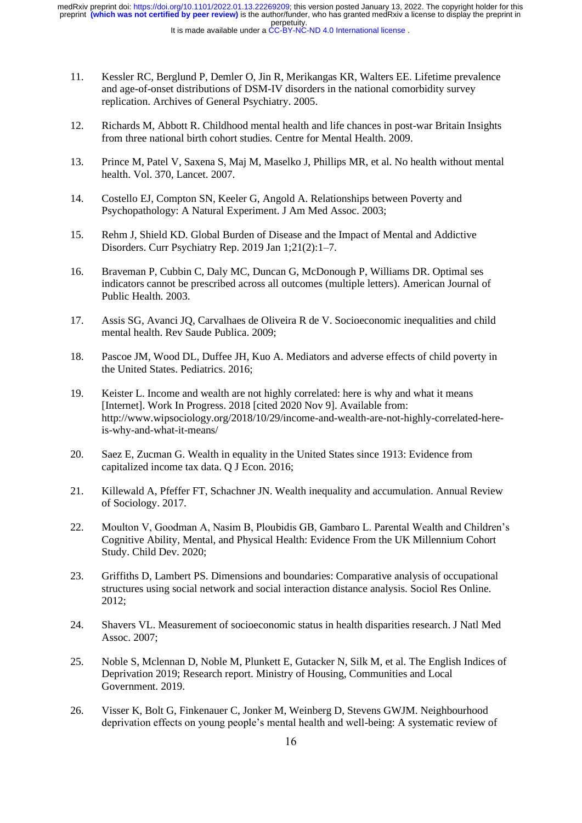It is made available under a [CC-BY-NC-ND 4.0 International license](http://creativecommons.org/licenses/by-nc-nd/4.0/) . perpetuity. preprint **(which was not certified by peer review)** is the author/funder, who has granted medRxiv a license to display the preprint in medRxiv preprint doi: [https://doi.org/10.1101/2022.01.13.22269209;](https://doi.org/10.1101/2022.01.13.22269209) this version posted January 13, 2022. The copyright holder for this

- 11. Kessler RC, Berglund P, Demler O, Jin R, Merikangas KR, Walters EE. Lifetime prevalence and age-of-onset distributions of DSM-IV disorders in the national comorbidity survey replication. Archives of General Psychiatry. 2005.
- 12. Richards M, Abbott R. Childhood mental health and life chances in post-war Britain Insights from three national birth cohort studies. Centre for Mental Health. 2009.
- 13. Prince M, Patel V, Saxena S, Maj M, Maselko J, Phillips MR, et al. No health without mental health. Vol. 370, Lancet. 2007.
- 14. Costello EJ, Compton SN, Keeler G, Angold A. Relationships between Poverty and Psychopathology: A Natural Experiment. J Am Med Assoc. 2003;
- 15. Rehm J, Shield KD. Global Burden of Disease and the Impact of Mental and Addictive Disorders. Curr Psychiatry Rep. 2019 Jan 1;21(2):1–7.
- 16. Braveman P, Cubbin C, Daly MC, Duncan G, McDonough P, Williams DR. Optimal ses indicators cannot be prescribed across all outcomes (multiple letters). American Journal of Public Health. 2003.
- 17. Assis SG, Avanci JQ, Carvalhaes de Oliveira R de V. Socioeconomic inequalities and child mental health. Rev Saude Publica. 2009;
- 18. Pascoe JM, Wood DL, Duffee JH, Kuo A. Mediators and adverse effects of child poverty in the United States. Pediatrics. 2016;
- 19. Keister L. Income and wealth are not highly correlated: here is why and what it means [Internet]. Work In Progress. 2018 [cited 2020 Nov 9]. Available from: http://www.wipsociology.org/2018/10/29/income-and-wealth-are-not-highly-correlated-hereis-why-and-what-it-means/
- 20. Saez E, Zucman G. Wealth in equality in the United States since 1913: Evidence from capitalized income tax data. Q J Econ. 2016;
- 21. Killewald A, Pfeffer FT, Schachner JN. Wealth inequality and accumulation. Annual Review of Sociology. 2017.
- 22. Moulton V, Goodman A, Nasim B, Ploubidis GB, Gambaro L. Parental Wealth and Children's Cognitive Ability, Mental, and Physical Health: Evidence From the UK Millennium Cohort Study. Child Dev. 2020;
- 23. Griffiths D, Lambert PS. Dimensions and boundaries: Comparative analysis of occupational structures using social network and social interaction distance analysis. Sociol Res Online. 2012;
- 24. Shavers VL. Measurement of socioeconomic status in health disparities research. J Natl Med Assoc. 2007;
- 25. Noble S, Mclennan D, Noble M, Plunkett E, Gutacker N, Silk M, et al. The English Indices of Deprivation 2019; Research report. Ministry of Housing, Communities and Local Government. 2019.
- 26. Visser K, Bolt G, Finkenauer C, Jonker M, Weinberg D, Stevens GWJM. Neighbourhood deprivation effects on young people's mental health and well-being: A systematic review of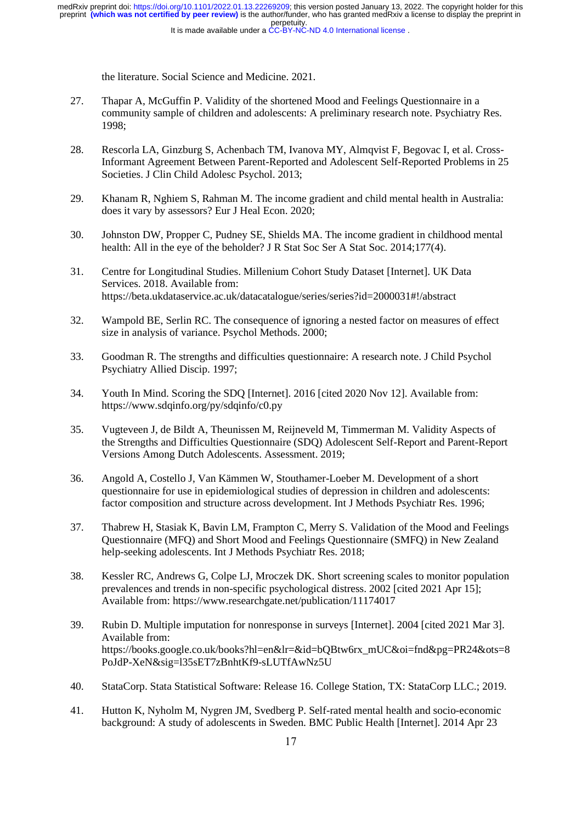the literature. Social Science and Medicine. 2021.

- 27. Thapar A, McGuffin P. Validity of the shortened Mood and Feelings Questionnaire in a community sample of children and adolescents: A preliminary research note. Psychiatry Res. 1998;
- 28. Rescorla LA, Ginzburg S, Achenbach TM, Ivanova MY, Almqvist F, Begovac I, et al. Cross-Informant Agreement Between Parent-Reported and Adolescent Self-Reported Problems in 25 Societies. J Clin Child Adolesc Psychol. 2013;
- 29. Khanam R, Nghiem S, Rahman M. The income gradient and child mental health in Australia: does it vary by assessors? Eur J Heal Econ. 2020;
- 30. Johnston DW, Propper C, Pudney SE, Shields MA. The income gradient in childhood mental health: All in the eye of the beholder? J R Stat Soc Ser A Stat Soc. 2014;177(4).
- 31. Centre for Longitudinal Studies. Millenium Cohort Study Dataset [Internet]. UK Data Services. 2018. Available from: https://beta.ukdataservice.ac.uk/datacatalogue/series/series?id=2000031#!/abstract
- 32. Wampold BE, Serlin RC. The consequence of ignoring a nested factor on measures of effect size in analysis of variance. Psychol Methods. 2000;
- 33. Goodman R. The strengths and difficulties questionnaire: A research note. J Child Psychol Psychiatry Allied Discip. 1997;
- 34. Youth In Mind. Scoring the SDQ [Internet]. 2016 [cited 2020 Nov 12]. Available from: https://www.sdqinfo.org/py/sdqinfo/c0.py
- 35. Vugteveen J, de Bildt A, Theunissen M, Reijneveld M, Timmerman M. Validity Aspects of the Strengths and Difficulties Questionnaire (SDQ) Adolescent Self-Report and Parent-Report Versions Among Dutch Adolescents. Assessment. 2019;
- 36. Angold A, Costello J, Van Kämmen W, Stouthamer-Loeber M. Development of a short questionnaire for use in epidemiological studies of depression in children and adolescents: factor composition and structure across development. Int J Methods Psychiatr Res. 1996;
- 37. Thabrew H, Stasiak K, Bavin LM, Frampton C, Merry S. Validation of the Mood and Feelings Questionnaire (MFQ) and Short Mood and Feelings Questionnaire (SMFQ) in New Zealand help-seeking adolescents. Int J Methods Psychiatr Res. 2018;
- 38. Kessler RC, Andrews G, Colpe LJ, Mroczek DK. Short screening scales to monitor population prevalences and trends in non-specific psychological distress. 2002 [cited 2021 Apr 15]; Available from: https://www.researchgate.net/publication/11174017
- 39. Rubin D. Multiple imputation for nonresponse in surveys [Internet]. 2004 [cited 2021 Mar 3]. Available from: https://books.google.co.uk/books?hl=en&lr=&id=bQBtw6rx\_mUC&oi=fnd&pg=PR24&ots=8 PoJdP-XeN&sig=l35sET7zBnhtKf9-sLUTfAwNz5U
- 40. StataCorp. Stata Statistical Software: Release 16. College Station, TX: StataCorp LLC.; 2019.
- 41. Hutton K, Nyholm M, Nygren JM, Svedberg P. Self-rated mental health and socio-economic background: A study of adolescents in Sweden. BMC Public Health [Internet]. 2014 Apr 23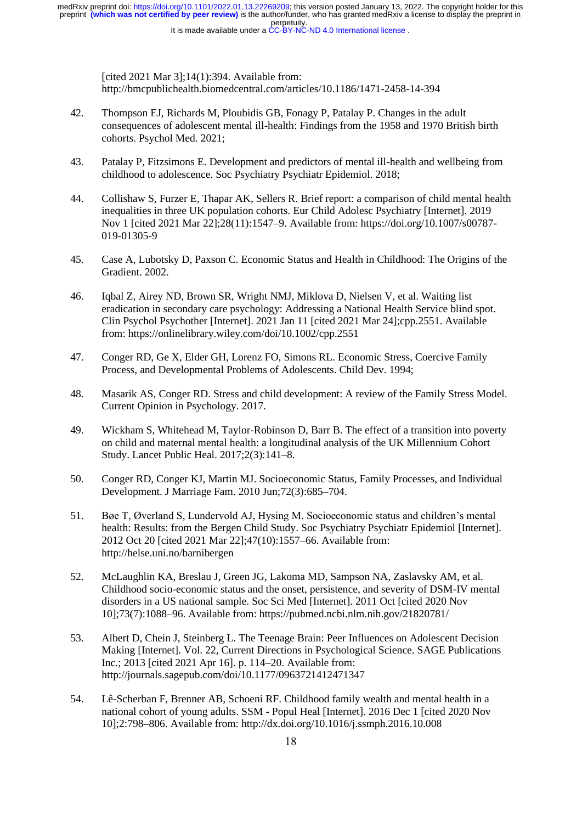perpetuity. preprint **(which was not certified by peer review)** is the author/funder, who has granted medRxiv a license to display the preprint in medRxiv preprint doi: [https://doi.org/10.1101/2022.01.13.22269209;](https://doi.org/10.1101/2022.01.13.22269209) this version posted January 13, 2022. The copyright holder for this

It is made available under a [CC-BY-NC-ND 4.0 International license](http://creativecommons.org/licenses/by-nc-nd/4.0/) .

[cited 2021 Mar 3];14(1):394. Available from: http://bmcpublichealth.biomedcentral.com/articles/10.1186/1471-2458-14-394

- 42. Thompson EJ, Richards M, Ploubidis GB, Fonagy P, Patalay P. Changes in the adult consequences of adolescent mental ill-health: Findings from the 1958 and 1970 British birth cohorts. Psychol Med. 2021;
- 43. Patalay P, Fitzsimons E. Development and predictors of mental ill-health and wellbeing from childhood to adolescence. Soc Psychiatry Psychiatr Epidemiol. 2018;
- 44. Collishaw S, Furzer E, Thapar AK, Sellers R. Brief report: a comparison of child mental health inequalities in three UK population cohorts. Eur Child Adolesc Psychiatry [Internet]. 2019 Nov 1 [cited 2021 Mar 22];28(11):1547–9. Available from: https://doi.org/10.1007/s00787- 019-01305-9
- 45. Case A, Lubotsky D, Paxson C. Economic Status and Health in Childhood: The Origins of the Gradient. 2002.
- 46. Iqbal Z, Airey ND, Brown SR, Wright NMJ, Miklova D, Nielsen V, et al. Waiting list eradication in secondary care psychology: Addressing a National Health Service blind spot. Clin Psychol Psychother [Internet]. 2021 Jan 11 [cited 2021 Mar 24];cpp.2551. Available from: https://onlinelibrary.wiley.com/doi/10.1002/cpp.2551
- 47. Conger RD, Ge X, Elder GH, Lorenz FO, Simons RL. Economic Stress, Coercive Family Process, and Developmental Problems of Adolescents. Child Dev. 1994;
- 48. Masarik AS, Conger RD. Stress and child development: A review of the Family Stress Model. Current Opinion in Psychology. 2017.
- 49. Wickham S, Whitehead M, Taylor-Robinson D, Barr B. The effect of a transition into poverty on child and maternal mental health: a longitudinal analysis of the UK Millennium Cohort Study. Lancet Public Heal. 2017;2(3):141–8.
- 50. Conger RD, Conger KJ, Martin MJ. Socioeconomic Status, Family Processes, and Individual Development. J Marriage Fam. 2010 Jun;72(3):685–704.
- 51. Bøe T, Øverland S, Lundervold AJ, Hysing M. Socioeconomic status and children's mental health: Results: from the Bergen Child Study. Soc Psychiatry Psychiatr Epidemiol [Internet]. 2012 Oct 20 [cited 2021 Mar 22];47(10):1557–66. Available from: http://helse.uni.no/barnibergen
- 52. McLaughlin KA, Breslau J, Green JG, Lakoma MD, Sampson NA, Zaslavsky AM, et al. Childhood socio-economic status and the onset, persistence, and severity of DSM-IV mental disorders in a US national sample. Soc Sci Med [Internet]. 2011 Oct [cited 2020 Nov 10];73(7):1088–96. Available from: https://pubmed.ncbi.nlm.nih.gov/21820781/
- 53. Albert D, Chein J, Steinberg L. The Teenage Brain: Peer Influences on Adolescent Decision Making [Internet]. Vol. 22, Current Directions in Psychological Science. SAGE Publications Inc.; 2013 [cited 2021 Apr 16]. p. 114–20. Available from: http://journals.sagepub.com/doi/10.1177/0963721412471347
- 54. Lê-Scherban F, Brenner AB, Schoeni RF. Childhood family wealth and mental health in a national cohort of young adults. SSM - Popul Heal [Internet]. 2016 Dec 1 [cited 2020 Nov 10];2:798–806. Available from: http://dx.doi.org/10.1016/j.ssmph.2016.10.008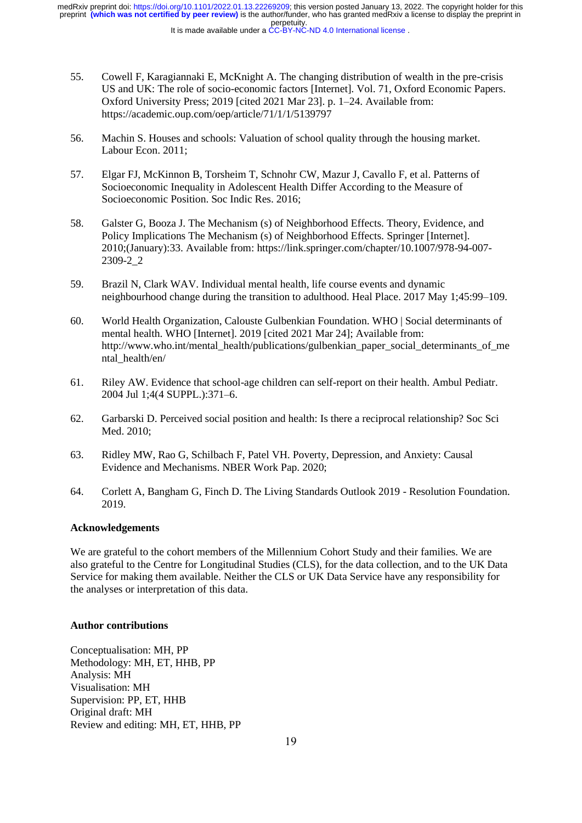perpetuity. preprint **(which was not certified by peer review)** is the author/funder, who has granted medRxiv a license to display the preprint in medRxiv preprint doi: [https://doi.org/10.1101/2022.01.13.22269209;](https://doi.org/10.1101/2022.01.13.22269209) this version posted January 13, 2022. The copyright holder for this

It is made available under a [CC-BY-NC-ND 4.0 International license](http://creativecommons.org/licenses/by-nc-nd/4.0/) .

- 55. Cowell F, Karagiannaki E, McKnight A. The changing distribution of wealth in the pre-crisis US and UK: The role of socio-economic factors [Internet]. Vol. 71, Oxford Economic Papers. Oxford University Press; 2019 [cited 2021 Mar 23]. p. 1–24. Available from: https://academic.oup.com/oep/article/71/1/1/5139797
- 56. Machin S. Houses and schools: Valuation of school quality through the housing market. Labour Econ. 2011;
- 57. Elgar FJ, McKinnon B, Torsheim T, Schnohr CW, Mazur J, Cavallo F, et al. Patterns of Socioeconomic Inequality in Adolescent Health Differ According to the Measure of Socioeconomic Position. Soc Indic Res. 2016;
- 58. Galster G, Booza J. The Mechanism (s) of Neighborhood Effects. Theory, Evidence, and Policy Implications The Mechanism (s) of Neighborhood Effects. Springer [Internet]. 2010;(January):33. Available from: https://link.springer.com/chapter/10.1007/978-94-007- 2309-2\_2
- 59. Brazil N, Clark WAV. Individual mental health, life course events and dynamic neighbourhood change during the transition to adulthood. Heal Place. 2017 May 1;45:99–109.
- 60. World Health Organization, Calouste Gulbenkian Foundation. WHO | Social determinants of mental health. WHO [Internet]. 2019 [cited 2021 Mar 24]; Available from: http://www.who.int/mental\_health/publications/gulbenkian\_paper\_social\_determinants\_of\_me ntal health/en/
- 61. Riley AW. Evidence that school-age children can self-report on their health. Ambul Pediatr. 2004 Jul 1;4(4 SUPPL.):371–6.
- 62. Garbarski D. Perceived social position and health: Is there a reciprocal relationship? Soc Sci Med. 2010;
- 63. Ridley MW, Rao G, Schilbach F, Patel VH. Poverty, Depression, and Anxiety: Causal Evidence and Mechanisms. NBER Work Pap. 2020;
- 64. Corlett A, Bangham G, Finch D. The Living Standards Outlook 2019 Resolution Foundation. 2019.

#### **Acknowledgements**

We are grateful to the cohort members of the Millennium Cohort Study and their families. We are also grateful to the Centre for Longitudinal Studies (CLS), for the data collection, and to the UK Data Service for making them available. Neither the CLS or UK Data Service have any responsibility for the analyses or interpretation of this data.

#### **Author contributions**

Conceptualisation: MH, PP Methodology: MH, ET, HHB, PP Analysis: MH Visualisation: MH Supervision: PP, ET, HHB Original draft: MH Review and editing: MH, ET, HHB, PP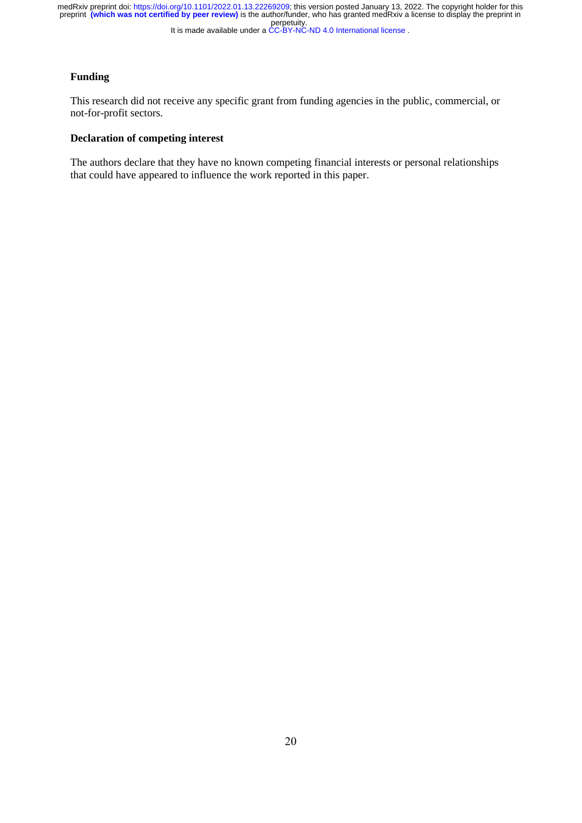## **Funding**

This research did not receive any specific grant from funding agencies in the public, commercial, or not-for-profit sectors.

### **Declaration of competing interest**

The authors declare that they have no known competing financial interests or personal relationships that could have appeared to influence the work reported in this paper.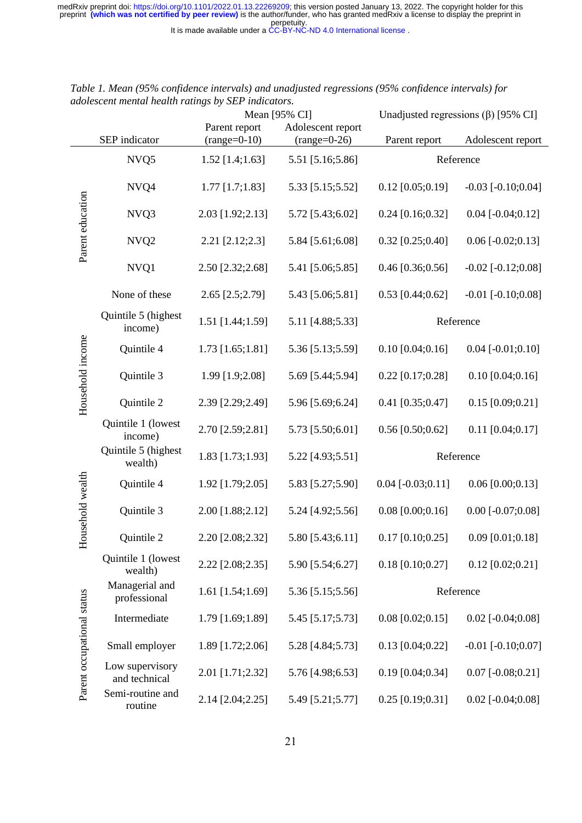|                            |                                  | Mean [95% CI]                   |                                     | Unadjusted regressions $(\beta)$ [95% CI] |                          |
|----------------------------|----------------------------------|---------------------------------|-------------------------------------|-------------------------------------------|--------------------------|
|                            | SEP indicator                    | Parent report<br>$(range=0-10)$ | Adolescent report<br>$(range=0-26)$ | Parent report                             | Adolescent report        |
| Parent education           | NVQ5                             | $1.52$ [1.4;1.63]               | 5.51 [5.16;5.86]                    | Reference                                 |                          |
|                            | NVQ4                             | $1.77$ [1.7;1.83]               | 5.33 [5.15;5.52]                    | $0.12$ [0.05;0.19]                        | $-0.03$ [ $-0.10;0.04$ ] |
|                            | NVQ3                             | 2.03 [1.92;2.13]                | 5.72 [5.43;6.02]                    | $0.24$ [0.16;0.32]                        | $0.04$ [-0.04;0.12]      |
|                            | NVQ <sub>2</sub>                 | 2.21 [2.12;2.3]                 | 5.84 [5.61;6.08]                    | $0.32$ [0.25;0.40]                        | $0.06$ [-0.02;0.13]      |
|                            | NVQ1                             | 2.50 [2.32;2.68]                | 5.41 [5.06;5.85]                    | $0.46$ [0.36;0.56]                        | $-0.02$ [ $-0.12;0.08$ ] |
|                            | None of these                    | 2.65 [2.5;2.79]                 | 5.43 [5.06;5.81]                    | $0.53$ [0.44;0.62]                        | $-0.01$ [ $-0.10;0.08$ ] |
|                            | Quintile 5 (highest<br>income)   | 1.51 [1.44;1.59]                | 5.11 [4.88;5.33]                    | Reference                                 |                          |
|                            | Quintile 4                       | $1.73$ [1.65;1.81]              | 5.36 [5.13;5.59]                    | $0.10$ [0.04;0.16]                        | $0.04$ [-0.01;0.10]      |
| Household income           | Quintile 3                       | 1.99 [1.9;2.08]                 | 5.69 [5.44;5.94]                    | $0.22$ [0.17;0.28]                        | $0.10$ [0.04;0.16]       |
|                            | Quintile 2                       | 2.39 [2.29;2.49]                | 5.96 [5.69;6.24]                    | $0.41$ [0.35;0.47]                        | $0.15$ [0.09;0.21]       |
|                            | Quintile 1 (lowest<br>income)    | 2.70 [2.59;2.81]                | 5.73 [5.50;6.01]                    | $0.56$ [0.50;0.62]                        | $0.11$ [0.04;0.17]       |
|                            | Quintile 5 (highest<br>wealth)   | 1.83 [1.73;1.93]                | 5.22 [4.93;5.51]                    | Reference                                 |                          |
|                            | Quintile 4                       | 1.92 [1.79;2.05]                | 5.83 [5.27;5.90]                    | $0.04$ [-0.03;0.11]                       | $0.06$ [0.00;0.13]       |
| lousehold wealth           | Quintile 3                       | 2.00 [1.88;2.12]                | 5.24 [4.92;5.56]                    | $0.08$ [0.00;0.16]                        | $0.00$ [-0.07;0.08]      |
| 工                          | Quintile 2                       | 2.20 [2.08;2.32]                | 5.80 [5.43;6.11]                    | $0.17$ [0.10;0.25]                        | $0.09$ [0.01;0.18]       |
| Parent occupational status | Quintile 1 (lowest<br>wealth)    | 2.22 [2.08;2.35]                | 5.90 [5.54;6.27]                    | $0.18$ [0.10;0.27]                        | $0.12$ [0.02;0.21]       |
|                            | Managerial and<br>professional   | 1.61 [1.54;1.69]                | 5.36 [5.15;5.56]                    | Reference                                 |                          |
|                            | Intermediate                     | 1.79 [1.69;1.89]                | 5.45 [5.17;5.73]                    | $0.08$ [0.02;0.15]                        | $0.02$ [-0.04;0.08]      |
|                            | Small employer                   | 1.89 [1.72;2.06]                | 5.28 [4.84;5.73]                    | $0.13$ [0.04;0.22]                        | $-0.01$ [ $-0.10;0.07$ ] |
|                            | Low supervisory<br>and technical | 2.01 [1.71;2.32]                | 5.76 [4.98;6.53]                    | $0.19$ [0.04;0.34]                        | $0.07$ [-0.08;0.21]      |
|                            | Semi-routine and<br>routine      | 2.14 [2.04;2.25]                | 5.49 [5.21;5.77]                    | $0.25$ [0.19;0.31]                        | $0.02$ [-0.04;0.08]      |

| Table 1. Mean (95% confidence intervals) and unadjusted regressions (95% confidence intervals) for |  |
|----------------------------------------------------------------------------------------------------|--|
| adolescent mental health ratings by SEP indicators.                                                |  |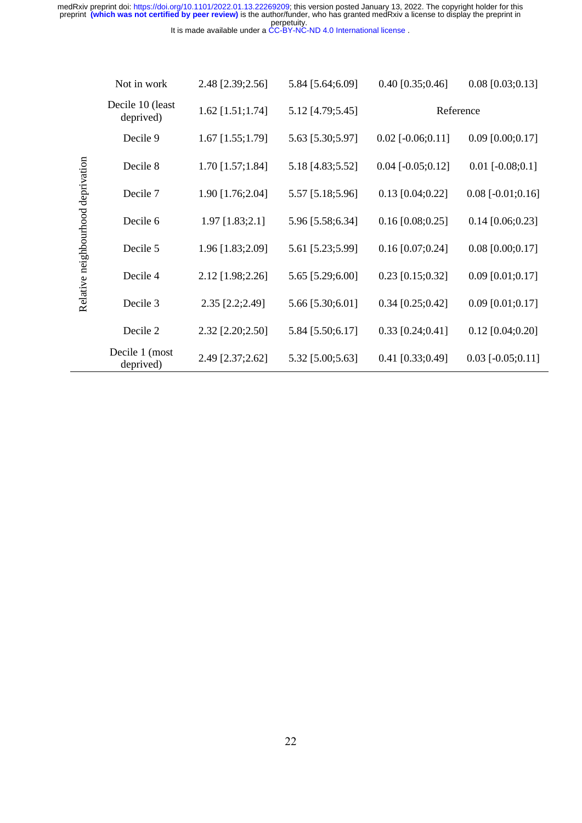|                                    | Not in work                   | 2.48 [2.39;2.56]   | 5.84 [5.64;6.09] | $0.40$ [0.35;0.46]  | $0.08$ [0.03;0.13]     |
|------------------------------------|-------------------------------|--------------------|------------------|---------------------|------------------------|
| Relative neighbourhood deprivation | Decile 10 (least<br>deprived) | $1.62$ [1.51;1.74] | 5.12 [4.79;5.45] | Reference           |                        |
|                                    | Decile 9                      | $1.67$ [1.55;1.79] | 5.63 [5.30;5.97] | $0.02$ [-0.06;0.11] | $0.09$ [0.00;0.17]     |
|                                    | Decile 8                      | $1.70$ [1.57;1.84] | 5.18 [4.83;5.52] | $0.04$ [-0.05;0.12] | $0.01$ [ $-0.08;0.1$ ] |
|                                    | Decile 7                      | 1.90 [1.76;2.04]   | 5.57 [5.18;5.96] | $0.13$ [0.04;0.22]  | $0.08$ [-0.01;0.16]    |
|                                    | Decile 6                      | 1.97 [1.83;2.1]    | 5.96 [5.58;6.34] | $0.16$ [0.08;0.25]  | $0.14$ [0.06;0.23]     |
|                                    | Decile 5                      | 1.96 [1.83;2.09]   | 5.61 [5.23;5.99] | $0.16$ [0.07;0.24]  | $0.08$ [0.00;0.17]     |
|                                    | Decile 4                      | 2.12 [1.98;2.26]   | 5.65 [5.29;6.00] | $0.23$ [0.15;0.32]  | $0.09$ [0.01;0.17]     |
|                                    | Decile 3                      | 2.35 [2.2;2.49]    | 5.66 [5.30;6.01] | $0.34$ [0.25;0.42]  | $0.09$ [0.01;0.17]     |
|                                    | Decile 2                      | 2.32 [2.20;2.50]   | 5.84 [5.50;6.17] | $0.33$ [0.24;0.41]  | $0.12$ [0.04;0.20]     |
|                                    | Decile 1 (most<br>deprived)   | 2.49 [2.37;2.62]   | 5.32 [5.00;5.63] | $0.41$ [0.33;0.49]  | $0.03$ [-0.05;0.11]    |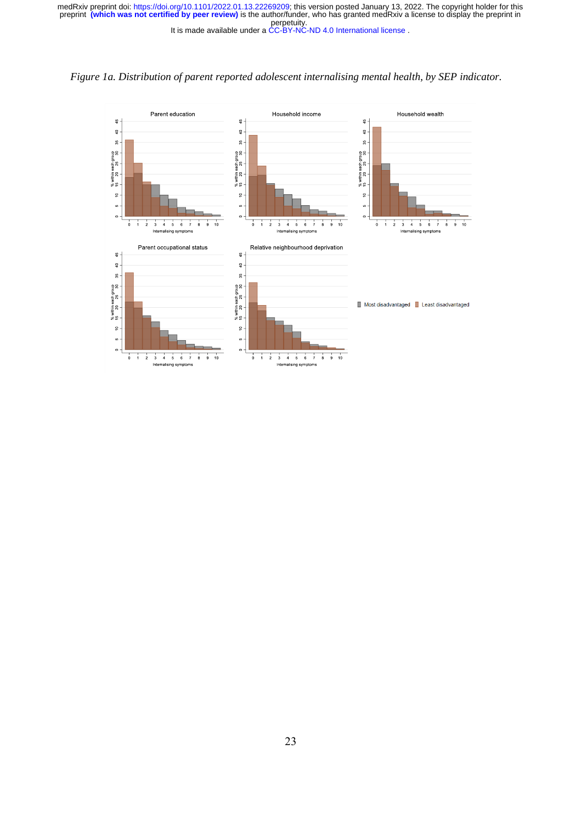

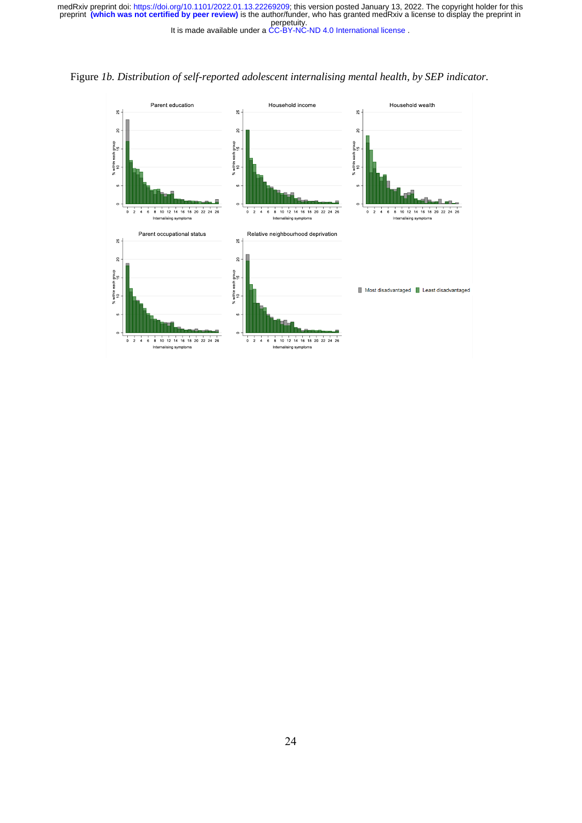

Figure *1b. Distribution of self-reported adolescent internalising mental health, by SEP indicator.*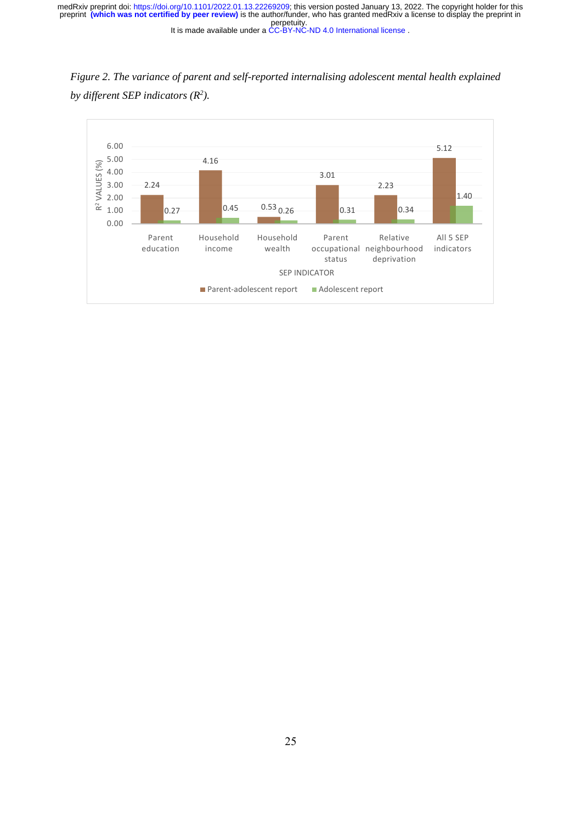*Figure 2. The variance of parent and self-reported internalising adolescent mental health explained by different SEP indicators (R 2 ).* 

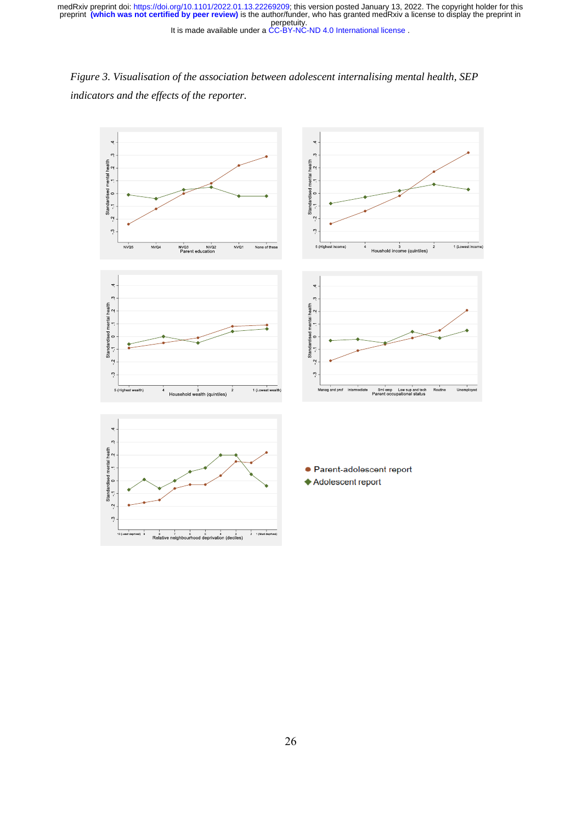*Figure 3. Visualisation of the association between adolescent internalising mental health, SEP indicators and the effects of the reporter.*